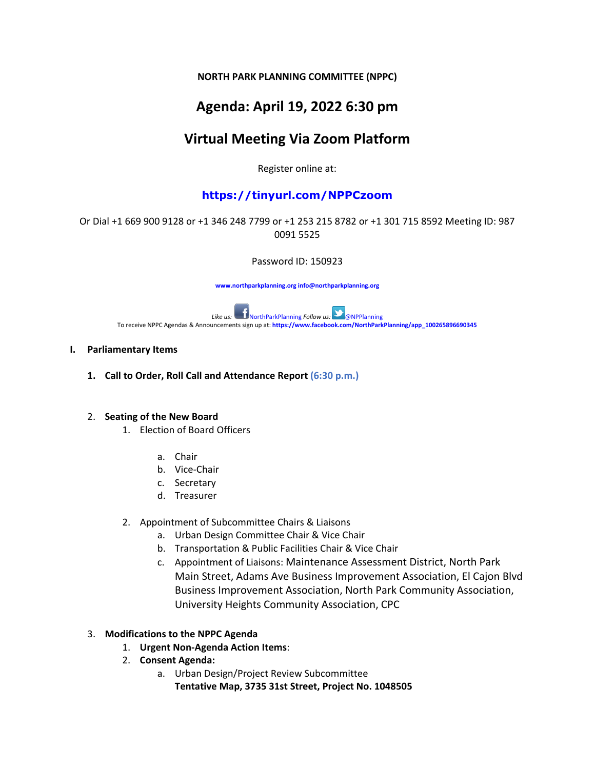**NORTH PARK PLANNING COMMITTEE (NPPC)**

## **Agenda: April 19, 2022 6:30 pm**

## **Virtual Meeting Via Zoom Platform**

Register online at:

## **https://tinyurl.com/NPPCzoom**

### Or Dial +1 669 900 9128 or +1 346 248 7799 or +1 253 215 8782 or +1 301 715 8592 Meeting ID: 987 0091 5525

Password ID: 150923

**www.northparkplanning.org info@northparkplanning.org**

*Like us:* NorthParkPlanning *Follow us:* **Property Algebra** 2016 To receive NPPC Agendas & Announcements sign up at: **https://www.facebook.com/NorthParkPlanning/app\_100265896690345**

#### **I. Parliamentary Items**

**1. Call to Order, Roll Call and Attendance Report (6:30 p.m.)** 

#### 2. **Seating of the New Board**

- 1. Election of Board Officers
	- a. Chair
	- b. Vice-Chair
	- c. Secretary
	- d. Treasurer
- 2. Appointment of Subcommittee Chairs & Liaisons
	- a. Urban Design Committee Chair & Vice Chair
	- b. Transportation & Public Facilities Chair & Vice Chair
	- c. Appointment of Liaisons: Maintenance Assessment District, North Park Main Street, Adams Ave Business Improvement Association, El Cajon Blvd Business Improvement Association, North Park Community Association, University Heights Community Association, CPC

#### 3. **Modifications to the NPPC Agenda**

- 1. **Urgent Non-Agenda Action Items**:
- 2. **Consent Agenda:**
	- a. Urban Design/Project Review Subcommittee
		- **Tentative Map, 3735 31st Street, Project No. 1048505**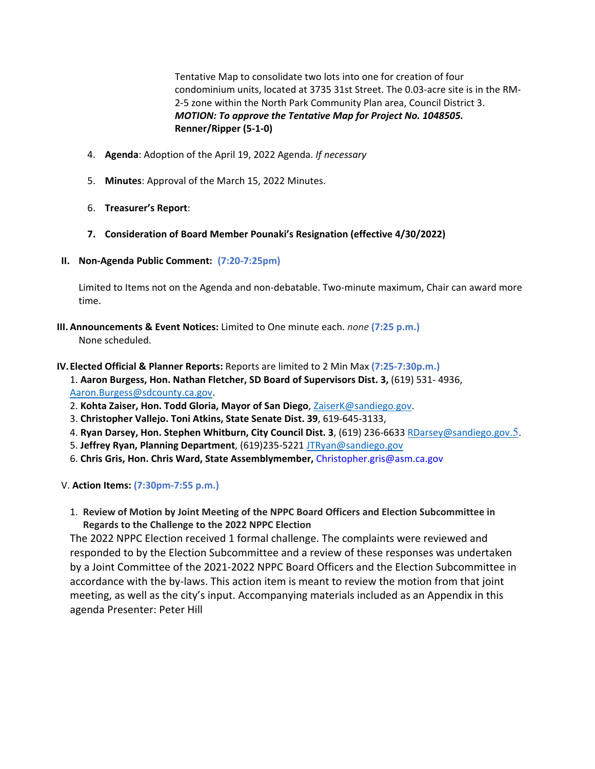Tentative Map to consolidate two lots into one for creation of four condominium units, located at 3735 31st Street. The 0.03-acre site is in the RM-2-5 zone within the North Park Community Plan area, Council District 3. *MOTION: To approve the Tentative Map for Project No. 1048505.* **Renner/Ripper (5-1-0)**

- 4. **Agenda**: Adoption of the April 19, 2022 Agenda. *If necessary*
- 5. **Minutes**: Approval of the March 15, 2022 Minutes.
- 6. **Treasurer's Report**:
- **7. Consideration of Board Member Pounaki's Resignation (effective 4/30/2022)**
- **II. Non-Agenda Public Comment: (7:20-7:25pm)**

Limited to Items not on the Agenda and non-debatable. Two-minute maximum, Chair can award more time.

- **III. Announcements & Event Notices:** Limited to One minute each. *none* **(7:25 p.m.)**  None scheduled.
- **IV.Elected Official & Planner Reports:** Reports are limited to 2 Min Max **(7:25-7:30p.m.)**
	- 1. **Aaron Burgess, Hon. Nathan Fletcher, SD Board of Supervisors Dist. 3,** (619) 531- 4936, [Aaron.Burgess@sdcounty.ca.gov.](mailto:Aaron.Burgess@sdcounty.ca.gov)
	- 2. **Kohta Zaiser, Hon. Todd Gloria, Mayor of San Diego**, [ZaiserK@sandiego.gov.](mailto:ZaiserK@sandiego.gov)
	- 3. **Christopher Vallejo. Toni Atkins, State Senate Dist. 39**, 619-645-3133,
	- 4. **Ryan Darsey, Hon. Stephen Whitburn, City Council Dist. 3**, (619) 236-663[3 RDarsey@sandiego.gov](mailto:RDarsey@sandiego.gov.5)[.5.](mailto:RDarsey@sandiego.gov.5)
	- 5. **Jeffrey Ryan, Planning Department**, (619)235-5221 [JTRyan@sandiego.gov](mailto:JTRyan@sandiego.gov)
	- 6. **Chris Gris, Hon. Chris Ward, State Assemblymember,** Christopher.gris@asm.ca.gov

V. **Action Items: (7:30pm-7:55 p.m.)**

1. **Review of Motion by Joint Meeting of the NPPC Board Officers and Election Subcommittee in Regards to the Challenge to the 2022 NPPC Election**

The 2022 NPPC Election received 1 formal challenge. The complaints were reviewed and responded to by the Election Subcommittee and a review of these responses was undertaken by a Joint Committee of the 2021-2022 NPPC Board Officers and the Election Subcommittee in accordance with the by-laws. This action item is meant to review the motion from that joint meeting, as well as the city's input. Accompanying materials included as an Appendix in this agenda Presenter: Peter Hill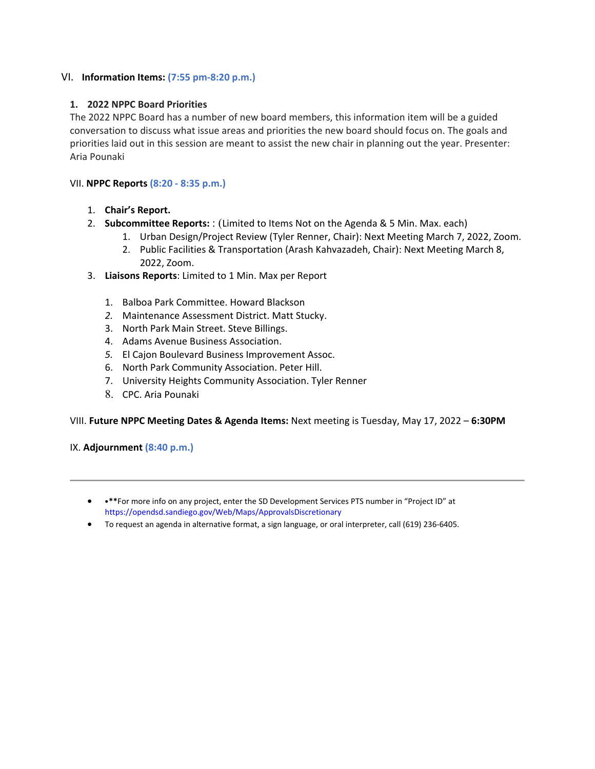#### VI.I **Information Items: (7:55 pm-8:20 p.m.)**

#### **1. 2022 NPPC Board Priorities**

The 2022 NPPC Board has a number of new board members, this information item will be a guided conversation to discuss what issue areas and priorities the new board should focus on. The goals and priorities laid out in this session are meant to assist the new chair in planning out the year. Presenter: Aria Pounaki

#### VII. **NPPC Reports (8:20 - 8:35 p.m.)**

- 1. **Chair's Report.**
- 2. **Subcommittee Reports:** : (Limited to Items Not on the Agenda & 5 Min. Max. each)
	- 1. Urban Design/Project Review (Tyler Renner, Chair): Next Meeting March 7, 2022, Zoom.
	- 2. Public Facilities & Transportation (Arash Kahvazadeh, Chair): Next Meeting March 8, 2022, Zoom.
- 3. **Liaisons Reports**: Limited to 1 Min. Max per Report
	- 1. Balboa Park Committee. Howard Blackson
	- *2.* Maintenance Assessment District. Matt Stucky.
	- 3. North Park Main Street. Steve Billings.
	- 4. Adams Avenue Business Association.
	- *5.* El Cajon Boulevard Business Improvement Assoc.
	- 6. North Park Community Association. Peter Hill.
	- 7. University Heights Community Association. Tyler Renner
	- 8. CPC. Aria Pounaki

#### VIII. **Future NPPC Meeting Dates & Agenda Items:** Next meeting is Tuesday, May 17, 2022 – **6:30PM**

#### IX. **Adjournment (8:40 p.m.)**

- •**\*\***For more info on any project, enter the SD Development Services PTS number in "Project ID" at https://opendsd.sandiego.gov/Web/Maps/ApprovalsDiscretionary
- To request an agenda in alternative format, a sign language, or oral interpreter, call (619) 236-6405.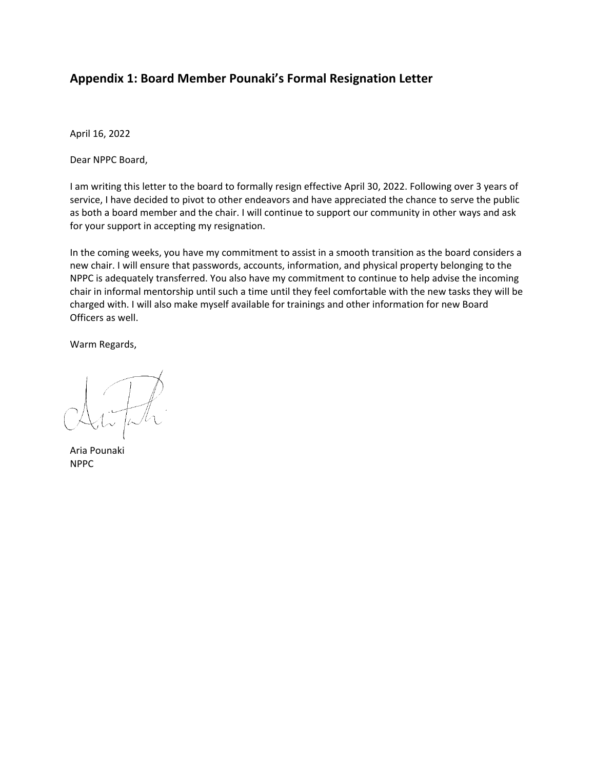## **Appendix 1: Board Member Pounaki's Formal Resignation Letter**

April 16, 2022

Dear NPPC Board,

I am writing this letter to the board to formally resign effective April 30, 2022. Following over 3 years of service, I have decided to pivot to other endeavors and have appreciated the chance to serve the public as both a board member and the chair. I will continue to support our community in other ways and ask for your support in accepting my resignation.

In the coming weeks, you have my commitment to assist in a smooth transition as the board considers a new chair. I will ensure that passwords, accounts, information, and physical property belonging to the NPPC is adequately transferred. You also have my commitment to continue to help advise the incoming chair in informal mentorship until such a time until they feel comfortable with the new tasks they will be charged with. I will also make myself available for trainings and other information for new Board Officers as well.

Warm Regards,

Aria Pounaki NPPC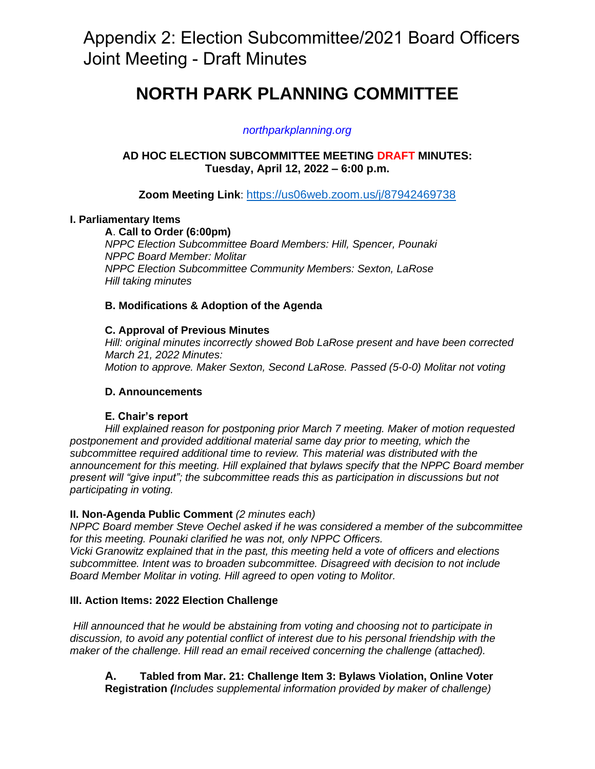# Appendix 2: Election Subcommittee/2021 Board Officers Joint Meeting - Draft Minutes

## **NORTH PARK PLANNING COMMITTEE**

## *northparkplanning.org*

## **AD HOC ELECTION SUBCOMMITTEE MEETING DRAFT MINUTES: Tuesday, April 12, 2022 – 6:00 p.m.**

**Zoom Meeting Link**: <https://us06web.zoom.us/j/87942469738>

## **I. Parliamentary Items**

**A**. **Call to Order (6:00pm)** *NPPC Election Subcommittee Board Members: Hill, Spencer, Pounaki NPPC Board Member: Molitar NPPC Election Subcommittee Community Members: Sexton, LaRose Hill taking minutes*

## **B. Modifications & Adoption of the Agenda**

## **C. Approval of Previous Minutes**

*Hill: original minutes incorrectly showed Bob LaRose present and have been corrected March 21, 2022 Minutes: Motion to approve. Maker Sexton, Second LaRose. Passed (5-0-0) Molitar not voting*

## **D. Announcements**

## **E. Chair's report**

*Hill explained reason for postponing prior March 7 meeting. Maker of motion requested postponement and provided additional material same day prior to meeting, which the subcommittee required additional time to review. This material was distributed with the announcement for this meeting. Hill explained that bylaws specify that the NPPC Board member present will "give input"; the subcommittee reads this as participation in discussions but not participating in voting.* 

## **II. Non-Agenda Public Comment** *(2 minutes each)*

*NPPC Board member Steve Oechel asked if he was considered a member of the subcommittee for this meeting. Pounaki clarified he was not, only NPPC Officers.*

*Vicki Granowitz explained that in the past, this meeting held a vote of officers and elections subcommittee. Intent was to broaden subcommittee. Disagreed with decision to not include Board Member Molitar in voting. Hill agreed to open voting to Molitor.*

## **III. Action Items: 2022 Election Challenge**

*Hill announced that he would be abstaining from voting and choosing not to participate in discussion, to avoid any potential conflict of interest due to his personal friendship with the maker of the challenge. Hill read an email received concerning the challenge (attached).*

**A. Tabled from Mar. 21: Challenge Item 3: Bylaws Violation, Online Voter Registration** *(Includes supplemental information provided by maker of challenge)*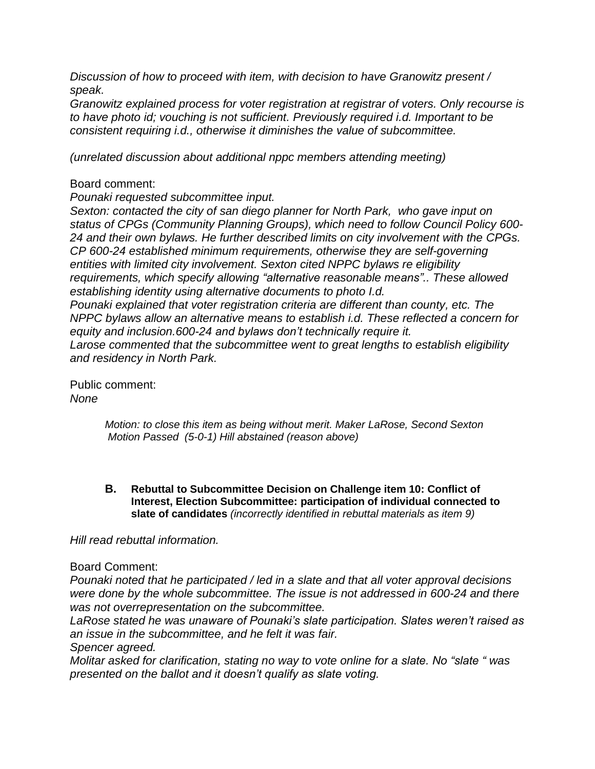*Discussion of how to proceed with item, with decision to have Granowitz present / speak.*

*Granowitz explained process for voter registration at registrar of voters. Only recourse is to have photo id; vouching is not sufficient. Previously required i.d. Important to be consistent requiring i.d., otherwise it diminishes the value of subcommittee.*

*(unrelated discussion about additional nppc members attending meeting)* 

## Board comment:

*Pounaki requested subcommittee input.*

*Sexton: contacted the city of san diego planner for North Park, who gave input on status of CPGs (Community Planning Groups), which need to follow Council Policy 600- 24 and their own bylaws. He further described limits on city involvement with the CPGs. CP 600-24 established minimum requirements, otherwise they are self-governing entities with limited city involvement. Sexton cited NPPC bylaws re eligibility requirements, which specify allowing "alternative reasonable means".. These allowed establishing identity using alternative documents to photo I.d. Pounaki explained that voter registration criteria are different than county, etc. The NPPC bylaws allow an alternative means to establish i.d. These reflected a concern for equity and inclusion.600-24 and bylaws don't technically require it. Larose commented that the subcommittee went to great lengths to establish eligibility and residency in North Park.* 

Public comment: *None* 

> *Motion: to close this item as being without merit. Maker LaRose, Second Sexton Motion Passed (5-0-1) Hill abstained (reason above)*

**B. Rebuttal to Subcommittee Decision on Challenge item 10: Conflict of Interest, Election Subcommittee: participation of individual connected to slate of candidates** *(incorrectly identified in rebuttal materials as item 9)*

*Hill read rebuttal information.* 

Board Comment:

*Pounaki noted that he participated / led in a slate and that all voter approval decisions were done by the whole subcommittee. The issue is not addressed in 600-24 and there was not overrepresentation on the subcommittee.* 

*LaRose stated he was unaware of Pounaki's slate participation. Slates weren't raised as an issue in the subcommittee, and he felt it was fair.* 

*Spencer agreed.*

*Molitar asked for clarification, stating no way to vote online for a slate. No "slate " was presented on the ballot and it doesn't qualify as slate voting.*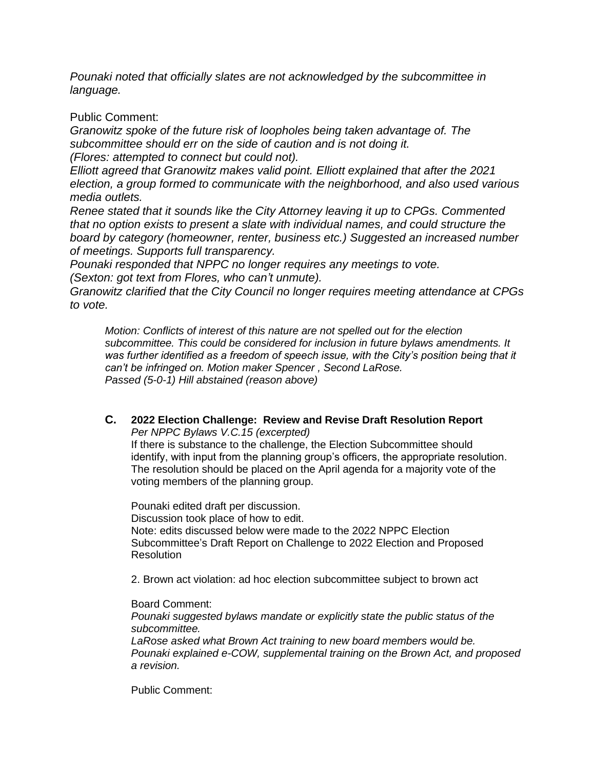*Pounaki noted that officially slates are not acknowledged by the subcommittee in language.* 

Public Comment:

*Granowitz spoke of the future risk of loopholes being taken advantage of. The subcommittee should err on the side of caution and is not doing it. (Flores: attempted to connect but could not).* 

*Elliott agreed that Granowitz makes valid point. Elliott explained that after the 2021 election, a group formed to communicate with the neighborhood, and also used various media outlets.* 

*Renee stated that it sounds like the City Attorney leaving it up to CPGs. Commented that no option exists to present a slate with individual names, and could structure the board by category (homeowner, renter, business etc.) Suggested an increased number of meetings. Supports full transparency.*

*Pounaki responded that NPPC no longer requires any meetings to vote.*

*(Sexton: got text from Flores, who can't unmute).* 

*Granowitz clarified that the City Council no longer requires meeting attendance at CPGs to vote.* 

*Motion: Conflicts of interest of this nature are not spelled out for the election subcommittee. This could be considered for inclusion in future bylaws amendments. It*  was further identified as a freedom of speech issue, with the City's position being that it *can't be infringed on. Motion maker Spencer , Second LaRose. Passed (5-0-1) Hill abstained (reason above)*

## **C. 2022 Election Challenge: Review and Revise Draft Resolution Report** *Per NPPC Bylaws V.C.15 (excerpted)*

If there is substance to the challenge, the Election Subcommittee should identify, with input from the planning group's officers, the appropriate resolution. The resolution should be placed on the April agenda for a majority vote of the voting members of the planning group.

Pounaki edited draft per discussion. Discussion took place of how to edit. Note: edits discussed below were made to the 2022 NPPC Election Subcommittee's Draft Report on Challenge to 2022 Election and Proposed **Resolution** 

2. Brown act violation: ad hoc election subcommittee subject to brown act

Board Comment:

*Pounaki suggested bylaws mandate or explicitly state the public status of the subcommittee.*

*LaRose asked what Brown Act training to new board members would be. Pounaki explained e-COW, supplemental training on the Brown Act, and proposed a revision.*

Public Comment: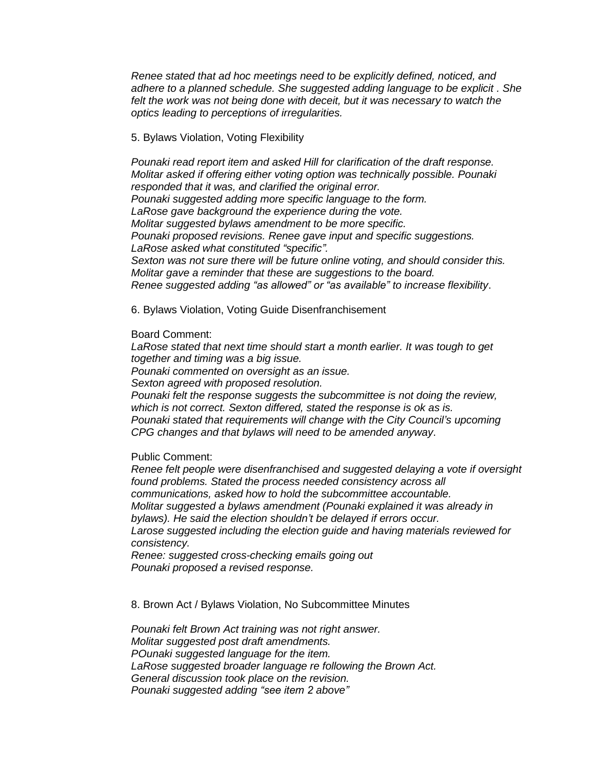*Renee stated that ad hoc meetings need to be explicitly defined, noticed, and adhere to a planned schedule. She suggested adding language to be explicit . She felt the work was not being done with deceit, but it was necessary to watch the optics leading to perceptions of irregularities.* 

#### 5. Bylaws Violation, Voting Flexibility

*Pounaki read report item and asked Hill for clarification of the draft response. Molitar asked if offering either voting option was technically possible. Pounaki responded that it was, and clarified the original error. Pounaki suggested adding more specific language to the form. LaRose gave background the experience during the vote. Molitar suggested bylaws amendment to be more specific. Pounaki proposed revisions. Renee gave input and specific suggestions. LaRose asked what constituted "specific". Sexton was not sure there will be future online voting, and should consider this. Molitar gave a reminder that these are suggestions to the board. Renee suggested adding "as allowed" or "as available" to increase flexibility*.

6. Bylaws Violation, Voting Guide Disenfranchisement

Board Comment:

*LaRose stated that next time should start a month earlier. It was tough to get together and timing was a big issue. Pounaki commented on oversight as an issue. Sexton agreed with proposed resolution. Pounaki felt the response suggests the subcommittee is not doing the review, which is not correct. Sexton differed, stated the response is ok as is. Pounaki stated that requirements will change with the City Council's upcoming CPG changes and that bylaws will need to be amended anyway*.

Public Comment:

*Renee felt people were disenfranchised and suggested delaying a vote if oversight found problems. Stated the process needed consistency across all communications, asked how to hold the subcommittee accountable. Molitar suggested a bylaws amendment (Pounaki explained it was already in bylaws). He said the election shouldn't be delayed if errors occur. Larose suggested including the election guide and having materials reviewed for consistency.* 

*Renee: suggested cross-checking emails going out Pounaki proposed a revised response.* 

8. Brown Act / Bylaws Violation, No Subcommittee Minutes

*Pounaki felt Brown Act training was not right answer. Molitar suggested post draft amendments. POunaki suggested language for the item. LaRose suggested broader language re following the Brown Act. General discussion took place on the revision. Pounaki suggested adding "see item 2 above"*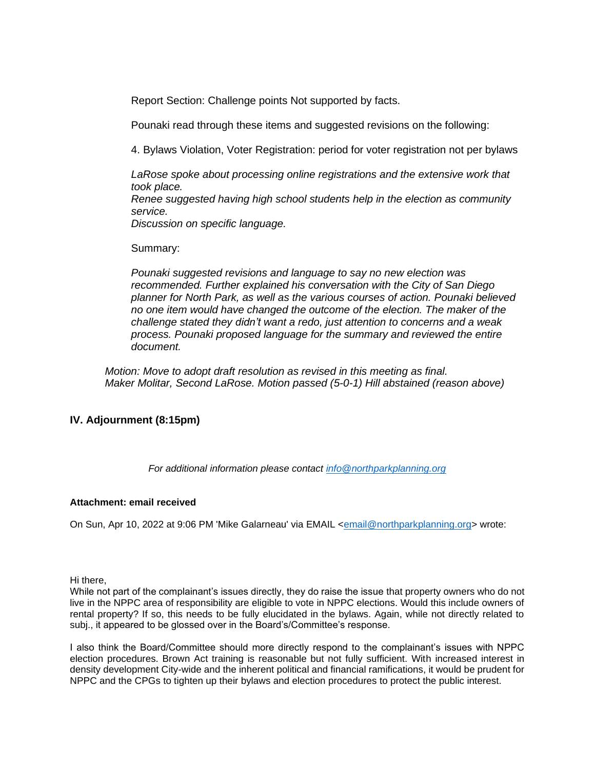Report Section: Challenge points Not supported by facts.

Pounaki read through these items and suggested revisions on the following:

4. Bylaws Violation, Voter Registration: period for voter registration not per bylaws

*LaRose spoke about processing online registrations and the extensive work that took place. Renee suggested having high school students help in the election as community service. Discussion on specific language.*

Summary:

*Pounaki suggested revisions and language to say no new election was recommended. Further explained his conversation with the City of San Diego planner for North Park, as well as the various courses of action. Pounaki believed no one item would have changed the outcome of the election. The maker of the challenge stated they didn't want a redo, just attention to concerns and a weak process. Pounaki proposed language for the summary and reviewed the entire document.* 

*Motion: Move to adopt draft resolution as revised in this meeting as final. Maker Molitar, Second LaRose. Motion passed (5-0-1) Hill abstained (reason above)*

## **IV. Adjournment (8:15pm)**

*For additional information please contact [info@northparkplanning.org](mailto:info@northparkplanning.org)*

#### **Attachment: email received**

On Sun, Apr 10, 2022 at 9:06 PM 'Mike Galarneau' via EMAIL [<email@northparkplanning.org>](mailto:email@northparkplanning.org) wrote:

Hi there,

While not part of the complainant's issues directly, they do raise the issue that property owners who do not live in the NPPC area of responsibility are eligible to vote in NPPC elections. Would this include owners of rental property? If so, this needs to be fully elucidated in the bylaws. Again, while not directly related to subj., it appeared to be glossed over in the Board's/Committee's response.

I also think the Board/Committee should more directly respond to the complainant's issues with NPPC election procedures. Brown Act training is reasonable but not fully sufficient. With increased interest in density development City-wide and the inherent political and financial ramifications, it would be prudent for NPPC and the CPGs to tighten up their bylaws and election procedures to protect the public interest.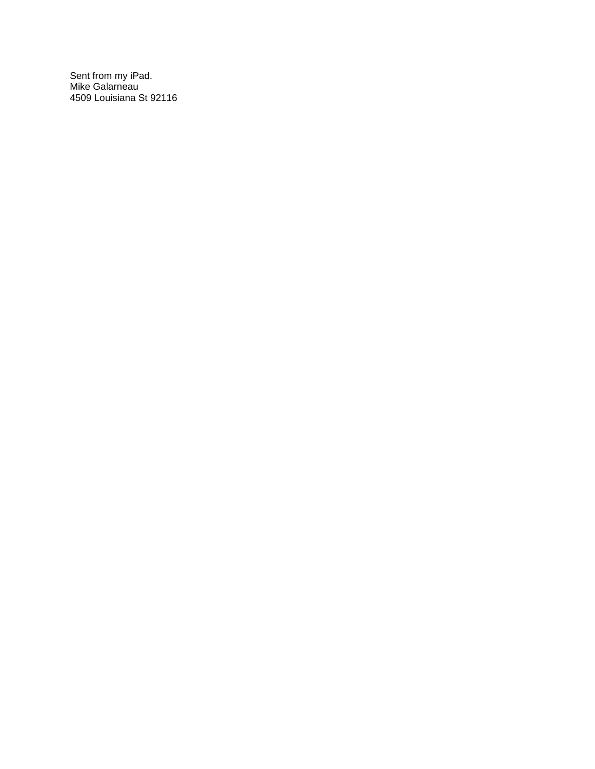Sent from my iPad. Mike Galarneau 4509 Louisiana St 92116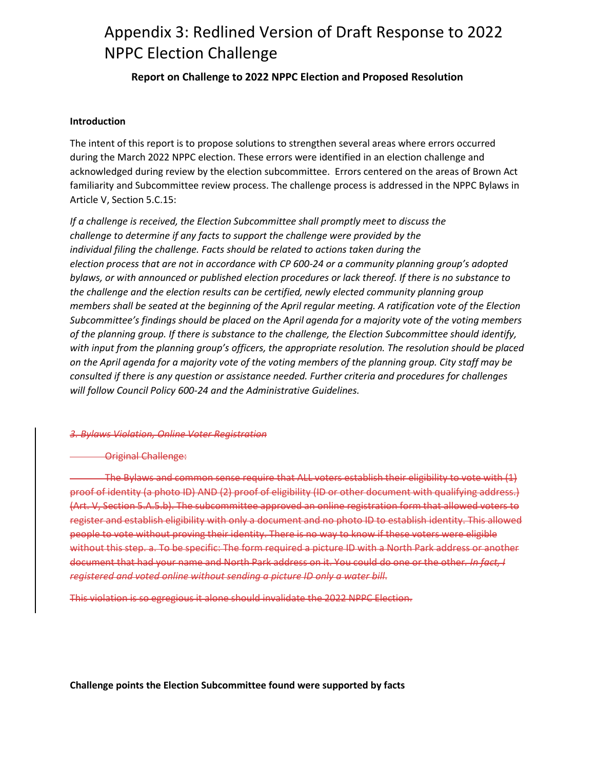## Appendix 3: Redlined Version of Draft Response to 2022 NPPC Election Challenge

## **Report on Challenge to 2022 NPPC Election and Proposed Resolution**

#### **Introduction**

The intent of this report is to propose solutions to strengthen several areas where errors occurred during the March 2022 NPPC election. These errors were identified in an election challenge and acknowledged during review by the election subcommittee. Errors centered on the areas of Brown Act familiarity and Subcommittee review process. The challenge process is addressed in the NPPC Bylaws in Article V, Section 5.C.15:

*If a challenge is received, the Election Subcommittee shall promptly meet to discuss the challenge to determine if any facts to support the challenge were provided by the individual filing the challenge. Facts should be related to actions taken during the election process that are not in accordance with CP 600-24 or a community planning group's adopted bylaws, or with announced or published election procedures or lack thereof. If there is no substance to the challenge and the election results can be certified, newly elected community planning group members shall be seated at the beginning of the April regular meeting. A ratification vote of the Election Subcommittee's findings should be placed on the April agenda for a majority vote of the voting members of the planning group. If there is substance to the challenge, the Election Subcommittee should identify, with input from the planning group's officers, the appropriate resolution. The resolution should be placed on the April agenda for a majority vote of the voting members of the planning group. City staff may be consulted if there is any question or assistance needed. Further criteria and procedures for challenges will follow Council Policy 600-24 and the Administrative Guidelines.* 

#### *3. Bylaws Violation, Online Voter Registration*

#### Original Challenge:

The Bylaws and common sense require that ALL voters establish their eligibility to vote with (1) proof of identity (a photo ID) AND (2) proof of eligibility (ID or other document with qualifying address.) (Art. V, Section 5.A.5.b). The subcommittee approved an online registration form that allowed voters to register and establish eligibility with only a document and no photo ID to establish identity. This allowed people to vote without proving their identity. There is no way to know if these voters were eligible without this step. a. To be specific: The form required a picture ID with a North Park address or another document that had your name and North Park address on it. You could do one or the other*. In fact, I registered and voted online without sending a picture ID only a water bill*.

This violation is so egregious it alone should invalidate the 2022 NPPC Election.

**Challenge points the Election Subcommittee found were supported by facts**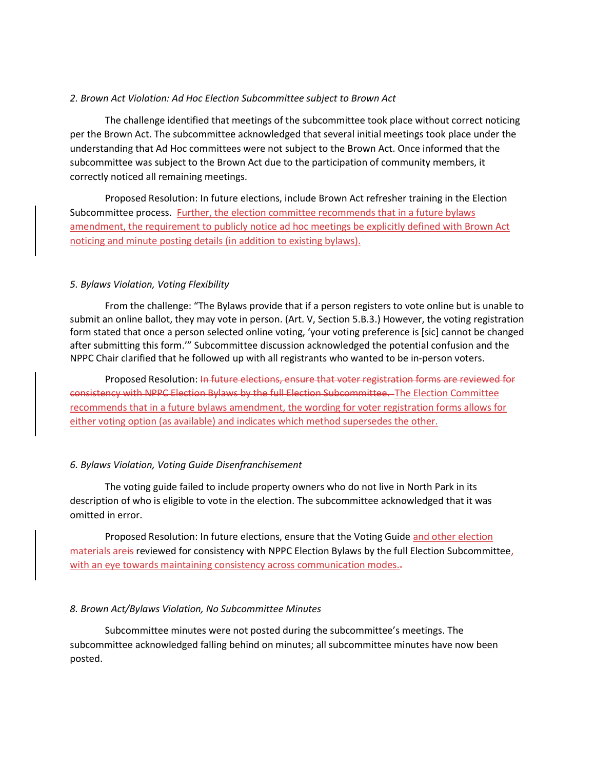#### *2. Brown Act Violation: Ad Hoc Election Subcommittee subject to Brown Act*

The challenge identified that meetings of the subcommittee took place without correct noticing per the Brown Act. The subcommittee acknowledged that several initial meetings took place under the understanding that Ad Hoc committees were not subject to the Brown Act. Once informed that the subcommittee was subject to the Brown Act due to the participation of community members, it correctly noticed all remaining meetings.

Proposed Resolution: In future elections, include Brown Act refresher training in the Election Subcommittee process. Further, the election committee recommends that in a future bylaws amendment, the requirement to publicly notice ad hoc meetings be explicitly defined with Brown Act noticing and minute posting details (in addition to existing bylaws).

#### *5. Bylaws Violation, Voting Flexibility*

From the challenge: "The Bylaws provide that if a person registers to vote online but is unable to submit an online ballot, they may vote in person. (Art. V, Section 5.B.3.) However, the voting registration form stated that once a person selected online voting, 'your voting preference is [sic] cannot be changed after submitting this form.'" Subcommittee discussion acknowledged the potential confusion and the NPPC Chair clarified that he followed up with all registrants who wanted to be in-person voters.

Proposed Resolution: In future elections, ensure that voter registration forms are reviewed for consistency with NPPC Election Bylaws by the full Election Subcommittee. The Election Committee recommends that in a future bylaws amendment, the wording for voter registration forms allows for either voting option (as available) and indicates which method supersedes the other.

#### *6. Bylaws Violation, Voting Guide Disenfranchisement*

The voting guide failed to include property owners who do not live in North Park in its description of who is eligible to vote in the election. The subcommittee acknowledged that it was omitted in error.

Proposed Resolution: In future elections, ensure that the Voting Guide and other election materials areis reviewed for consistency with NPPC Election Bylaws by the full Election Subcommittee, with an eye towards maintaining consistency across communication modes.-

#### *8. Brown Act/Bylaws Violation, No Subcommittee Minutes*

Subcommittee minutes were not posted during the subcommittee's meetings. The subcommittee acknowledged falling behind on minutes; all subcommittee minutes have now been posted.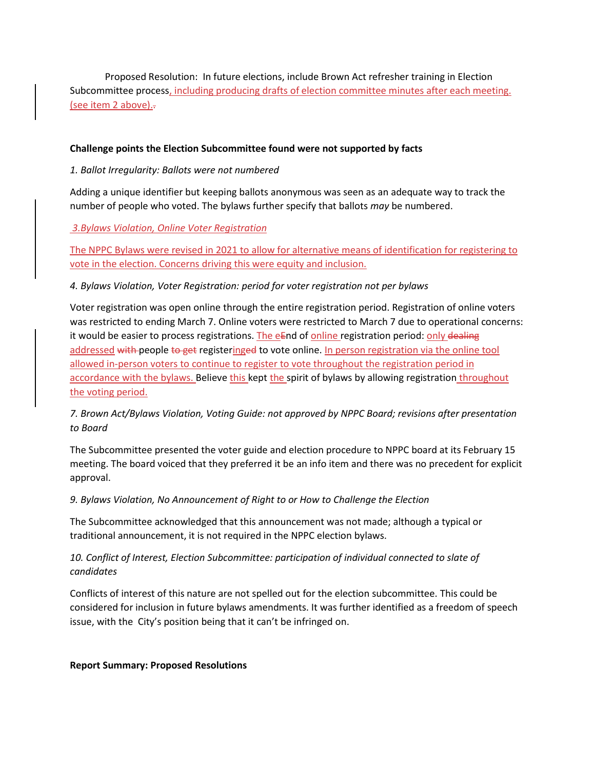Proposed Resolution: In future elections, include Brown Act refresher training in Election Subcommittee process, including producing drafts of election committee minutes after each meeting. (see item 2 above)..

#### **Challenge points the Election Subcommittee found were not supported by facts**

### *1. Ballot Irregularity: Ballots were not numbered*

Adding a unique identifier but keeping ballots anonymous was seen as an adequate way to track the number of people who voted. The bylaws further specify that ballots *may* be numbered.

*3.Bylaws Violation, Online Voter Registration*

The NPPC Bylaws were revised in 2021 to allow for alternative means of identification for registering to vote in the election. Concerns driving this were equity and inclusion.

*4. Bylaws Violation, Voter Registration: period for voter registration not per bylaws*

Voter registration was open online through the entire registration period. Registration of online voters was restricted to ending March 7. Online voters were restricted to March 7 due to operational concerns: it would be easier to process registrations. The  $eE$ nd of online registration period: only dealing addressed with people to get registeringed to vote online. In person registration via the online tool allowed in-person voters to continue to register to vote throughout the registration period in accordance with the bylaws. Believe this kept the spirit of bylaws by allowing registration throughout the voting period.

*7. Brown Act/Bylaws Violation, Voting Guide: not approved by NPPC Board; revisions after presentation to Board*

The Subcommittee presented the voter guide and election procedure to NPPC board at its February 15 meeting. The board voiced that they preferred it be an info item and there was no precedent for explicit approval.

*9. Bylaws Violation, No Announcement of Right to or How to Challenge the Election*

The Subcommittee acknowledged that this announcement was not made; although a typical or traditional announcement, it is not required in the NPPC election bylaws.

## *10. Conflict of Interest, Election Subcommittee: participation of individual connected to slate of candidates*

Conflicts of interest of this nature are not spelled out for the election subcommittee. This could be considered for inclusion in future bylaws amendments. It was further identified as a freedom of speech issue, with the City's position being that it can't be infringed on.

#### **Report Summary: Proposed Resolutions**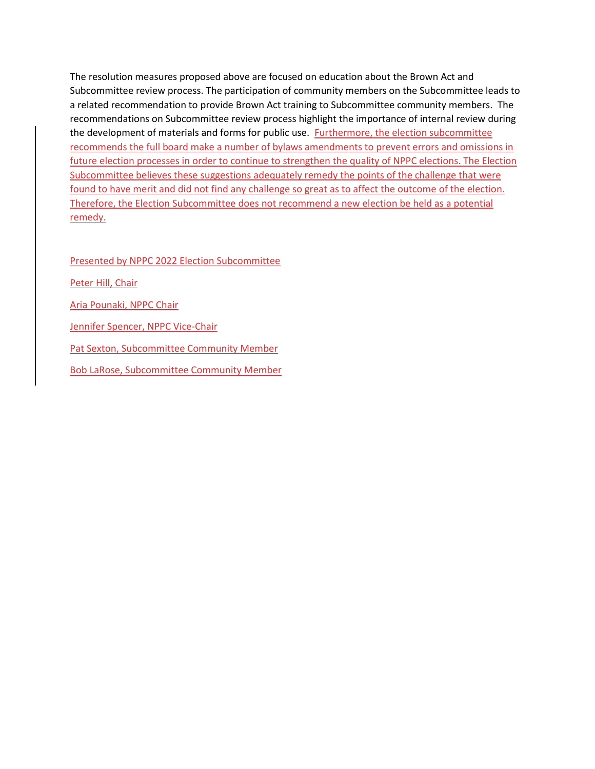The resolution measures proposed above are focused on education about the Brown Act and Subcommittee review process. The participation of community members on the Subcommittee leads to a related recommendation to provide Brown Act training to Subcommittee community members. The recommendations on Subcommittee review process highlight the importance of internal review during the development of materials and forms for public use. Furthermore, the election subcommittee recommends the full board make a number of bylaws amendments to prevent errors and omissions in future election processes in order to continue to strengthen the quality of NPPC elections. The Election Subcommittee believes these suggestions adequately remedy the points of the challenge that were found to have merit and did not find any challenge so great as to affect the outcome of the election. Therefore, the Election Subcommittee does not recommend a new election be held as a potential remedy.

Presented by NPPC 2022 Election Subcommittee

Peter Hill, Chair

Aria Pounaki, NPPC Chair

Jennifer Spencer, NPPC Vice-Chair

Pat Sexton, Subcommittee Community Member

Bob LaRose, Subcommittee Community Member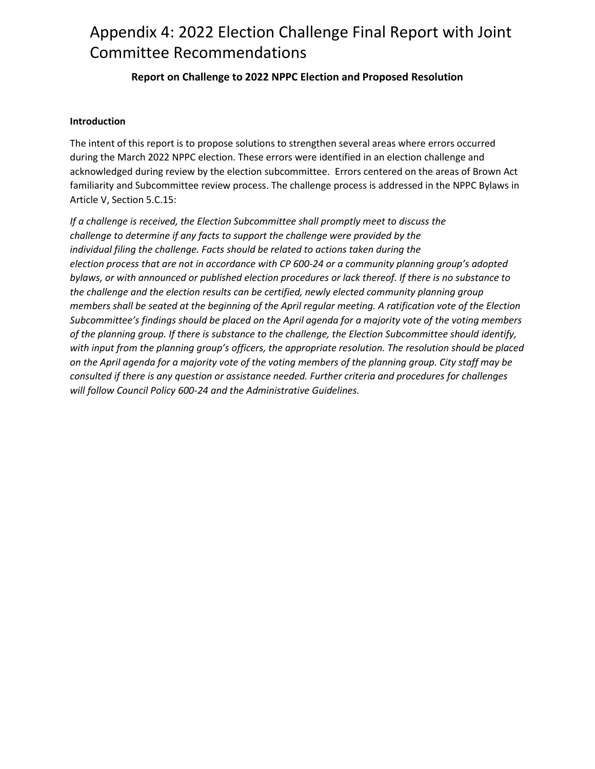# Appendix 4: 2022 Election Challenge Final Report with Joint Committee Recommendations

## **Report on Challenge to 2022 NPPC Election and Proposed Resolution**

#### **Introduction**

The intent of this report is to propose solutions to strengthen several areas where errors occurred during the March 2022 NPPC election. These errors were identified in an election challenge and acknowledged during review by the election subcommittee. Errors centered on the areas of Brown Act familiarity and Subcommittee review process. The challenge process is addressed in the NPPC Bylaws in Article V, Section 5.C.15:

*If a challenge is received, the Election Subcommittee shall promptly meet to discuss the challenge to determine if any facts to support the challenge were provided by the individual filing the challenge. Facts should be related to actions taken during the election process that are not in accordance with CP 600-24 or a community planning group's adopted bylaws, or with announced or published election procedures or lack thereof. If there is no substance to the challenge and the election results can be certified, newly elected community planning group members shall be seated at the beginning of the April regular meeting. A ratification vote of the Election Subcommittee's findings should be placed on the April agenda for a majority vote of the voting members of the planning group. If there is substance to the challenge, the Election Subcommittee should identify, with input from the planning group's officers, the appropriate resolution. The resolution should be placed on the April agenda for a majority vote of the voting members of the planning group. City staff may be consulted if there is any question or assistance needed. Further criteria and procedures for challenges will follow Council Policy 600-24 and the Administrative Guidelines.*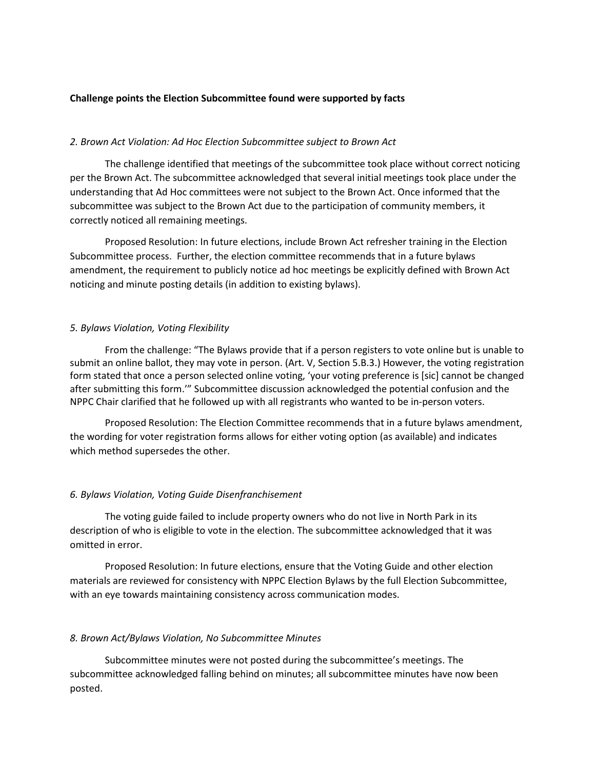#### **Challenge points the Election Subcommittee found were supported by facts**

#### *2. Brown Act Violation: Ad Hoc Election Subcommittee subject to Brown Act*

The challenge identified that meetings of the subcommittee took place without correct noticing per the Brown Act. The subcommittee acknowledged that several initial meetings took place under the understanding that Ad Hoc committees were not subject to the Brown Act. Once informed that the subcommittee was subject to the Brown Act due to the participation of community members, it correctly noticed all remaining meetings.

Proposed Resolution: In future elections, include Brown Act refresher training in the Election Subcommittee process. Further, the election committee recommends that in a future bylaws amendment, the requirement to publicly notice ad hoc meetings be explicitly defined with Brown Act noticing and minute posting details (in addition to existing bylaws).

#### *5. Bylaws Violation, Voting Flexibility*

From the challenge: "The Bylaws provide that if a person registers to vote online but is unable to submit an online ballot, they may vote in person. (Art. V, Section 5.B.3.) However, the voting registration form stated that once a person selected online voting, 'your voting preference is [sic] cannot be changed after submitting this form.'" Subcommittee discussion acknowledged the potential confusion and the NPPC Chair clarified that he followed up with all registrants who wanted to be in-person voters.

Proposed Resolution: The Election Committee recommends that in a future bylaws amendment, the wording for voter registration forms allows for either voting option (as available) and indicates which method supersedes the other.

#### *6. Bylaws Violation, Voting Guide Disenfranchisement*

The voting guide failed to include property owners who do not live in North Park in its description of who is eligible to vote in the election. The subcommittee acknowledged that it was omitted in error.

Proposed Resolution: In future elections, ensure that the Voting Guide and other election materials are reviewed for consistency with NPPC Election Bylaws by the full Election Subcommittee, with an eye towards maintaining consistency across communication modes.

#### *8. Brown Act/Bylaws Violation, No Subcommittee Minutes*

Subcommittee minutes were not posted during the subcommittee's meetings. The subcommittee acknowledged falling behind on minutes; all subcommittee minutes have now been posted.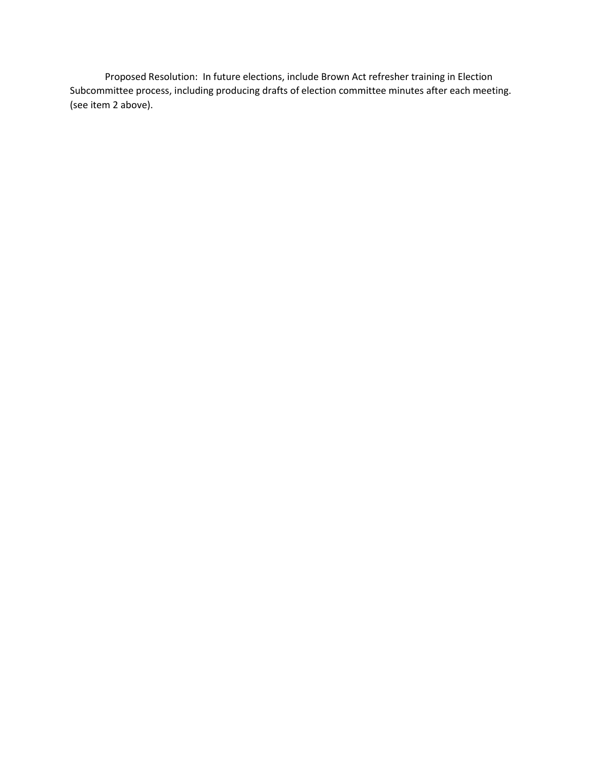Proposed Resolution: In future elections, include Brown Act refresher training in Election Subcommittee process, including producing drafts of election committee minutes after each meeting. (see item 2 above).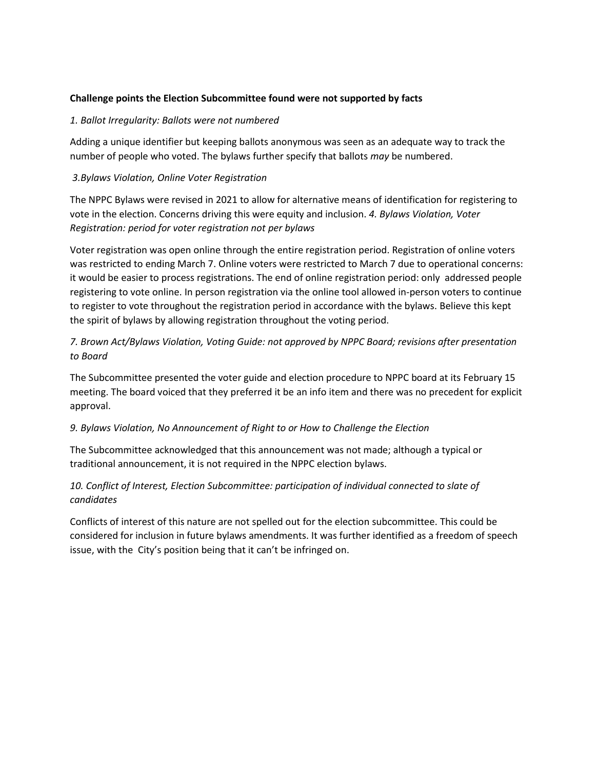#### **Challenge points the Election Subcommittee found were not supported by facts**

#### *1. Ballot Irregularity: Ballots were not numbered*

Adding a unique identifier but keeping ballots anonymous was seen as an adequate way to track the number of people who voted. The bylaws further specify that ballots *may* be numbered.

### *3.Bylaws Violation, Online Voter Registration*

The NPPC Bylaws were revised in 2021 to allow for alternative means of identification for registering to vote in the election. Concerns driving this were equity and inclusion. *4. Bylaws Violation, Voter Registration: period for voter registration not per bylaws*

Voter registration was open online through the entire registration period. Registration of online voters was restricted to ending March 7. Online voters were restricted to March 7 due to operational concerns: it would be easier to process registrations. The end of online registration period: only addressed people registering to vote online. In person registration via the online tool allowed in-person voters to continue to register to vote throughout the registration period in accordance with the bylaws. Believe this kept the spirit of bylaws by allowing registration throughout the voting period.

## *7. Brown Act/Bylaws Violation, Voting Guide: not approved by NPPC Board; revisions after presentation to Board*

The Subcommittee presented the voter guide and election procedure to NPPC board at its February 15 meeting. The board voiced that they preferred it be an info item and there was no precedent for explicit approval.

## *9. Bylaws Violation, No Announcement of Right to or How to Challenge the Election*

The Subcommittee acknowledged that this announcement was not made; although a typical or traditional announcement, it is not required in the NPPC election bylaws.

## *10. Conflict of Interest, Election Subcommittee: participation of individual connected to slate of candidates*

Conflicts of interest of this nature are not spelled out for the election subcommittee. This could be considered for inclusion in future bylaws amendments. It was further identified as a freedom of speech issue, with the City's position being that it can't be infringed on.